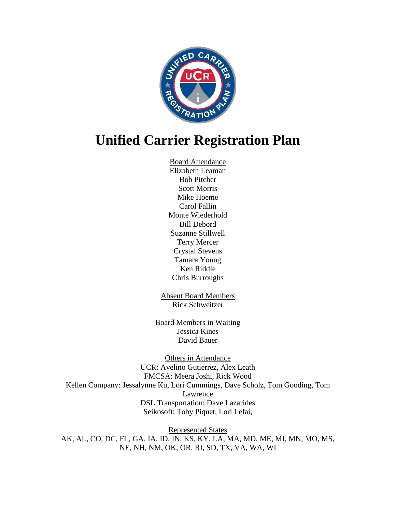

# **Unified Carrier Registration Plan**

Board Attendance Elizabeth Leaman Bob Pitcher Scott Morris Mike Hoeme Carol Fallin Monte Wiederhold Bill Debord Suzanne Stillwell Terry Mercer Crystal Stevens Tamara Young Ken Riddle Chris Burroughs

Absent Board Members Rick Schweitzer

Board Members in Waiting Jessica Kines David Bauer

Others in Attendance UCR: Avelino Gutierrez, Alex Leath FMCSA: Meera Joshi, Rick Wood Kellen Company: Jessalynne Ku, Lori Cummings, Dave Scholz, Tom Gooding, Tom Lawrence DSL Transportation: Dave Lazarides Seikosoft: Toby Piquet, Lori Lefai,

Represented States AK, AL, CO, DC, FL, GA, IA, ID, IN, KS, KY, LA, MA, MD, ME, MI, MN, MO, MS, NE, NH, NM, OK, OR, RI, SD, TX, VA, WA, WI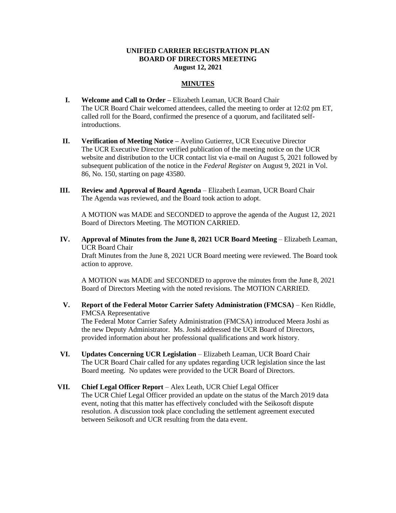### **UNIFIED CARRIER REGISTRATION PLAN BOARD OF DIRECTORS MEETING August 12, 2021**

## **MINUTES**

- **I. Welcome and Call to Order –** Elizabeth Leaman, UCR Board Chair The UCR Board Chair welcomed attendees, called the meeting to order at 12:02 pm ET, called roll for the Board, confirmed the presence of a quorum, and facilitated selfintroductions.
- **II. Verification of Meeting Notice –** Avelino Gutierrez, UCR Executive Director The UCR Executive Director verified publication of the meeting notice on the UCR website and distribution to the UCR contact list via e-mail on August 5, 2021 followed by subsequent publication of the notice in the *Federal Register* on August 9, 2021 in Vol. 86, No. 150, starting on page 43580.
- **III. Review and Approval of Board Agenda** Elizabeth Leaman, UCR Board Chair The Agenda was reviewed, and the Board took action to adopt.

A MOTION was MADE and SECONDED to approve the agenda of the August 12, 2021 Board of Directors Meeting. The MOTION CARRIED.

**IV. Approval of Minutes from the June 8, 2021 UCR Board Meeting** – Elizabeth Leaman, UCR Board Chair

Draft Minutes from the June 8, 2021 UCR Board meeting were reviewed. The Board took action to approve.

A MOTION was MADE and SECONDED to approve the minutes from the June 8, 2021 Board of Directors Meeting with the noted revisions. The MOTION CARRIED.

**V. Report of the Federal Motor Carrier Safety Administration (FMCSA)** – Ken Riddle, FMCSA Representative

The Federal Motor Carrier Safety Administration (FMCSA) introduced Meera Joshi as the new Deputy Administrator. Ms. Joshi addressed the UCR Board of Directors, provided information about her professional qualifications and work history.

- **VI. Updates Concerning UCR Legislation** Elizabeth Leaman, UCR Board Chair The UCR Board Chair called for any updates regarding UCR legislation since the last Board meeting. No updates were provided to the UCR Board of Directors.
- **VII. Chief Legal Officer Report** Alex Leath, UCR Chief Legal Officer The UCR Chief Legal Officer provided an update on the status of the March 2019 data event, noting that this matter has effectively concluded with the Seikosoft dispute resolution. A discussion took place concluding the settlement agreement executed between Seikosoft and UCR resulting from the data event.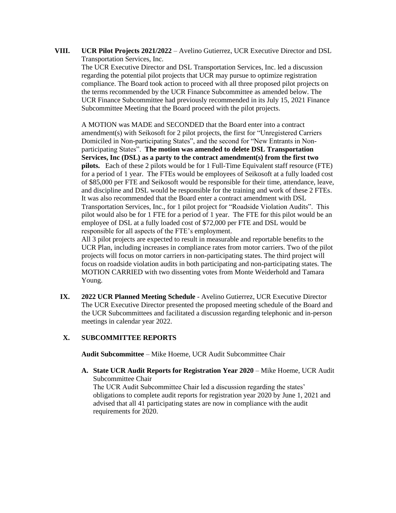**VIII. UCR Pilot Projects 2021/2022** – Avelino Gutierrez, UCR Executive Director and DSL Transportation Services, Inc.

The UCR Executive Director and DSL Transportation Services, Inc. led a discussion regarding the potential pilot projects that UCR may pursue to optimize registration compliance. The Board took action to proceed with all three proposed pilot projects on the terms recommended by the UCR Finance Subcommittee as amended below. The UCR Finance Subcommittee had previously recommended in its July 15, 2021 Finance Subcommittee Meeting that the Board proceed with the pilot projects.

A MOTION was MADE and SECONDED that the Board enter into a contract amendment(s) with Seikosoft for 2 pilot projects, the first for "Unregistered Carriers Domiciled in Non-participating States", and the second for "New Entrants in Nonparticipating States". **The motion was amended to delete DSL Transportation Services, Inc (DSL) as a party to the contract amendment(s) from the first two pilots.** Each of these 2 pilots would be for 1 Full-Time Equivalent staff resource (FTE) for a period of 1 year. The FTEs would be employees of Seikosoft at a fully loaded cost of \$85,000 per FTE and Seikosoft would be responsible for their time, attendance, leave, and discipline and DSL would be responsible for the training and work of these 2 FTEs. It was also recommended that the Board enter a contract amendment with DSL Transportation Services, Inc., for 1 pilot project for "Roadside Violation Audits". This pilot would also be for 1 FTE for a period of 1 year. The FTE for this pilot would be an employee of DSL at a fully loaded cost of \$72,000 per FTE and DSL would be responsible for all aspects of the FTE's employment.

All 3 pilot projects are expected to result in measurable and reportable benefits to the UCR Plan, including increases in compliance rates from motor carriers. Two of the pilot projects will focus on motor carriers in non-participating states. The third project will focus on roadside violation audits in both participating and non-participating states. The MOTION CARRIED with two dissenting votes from Monte Weiderhold and Tamara Young.

**IX. 2022 UCR Planned Meeting Schedule** - Avelino Gutierrez, UCR Executive Director The UCR Executive Director presented the proposed meeting schedule of the Board and the UCR Subcommittees and facilitated a discussion regarding telephonic and in-person meetings in calendar year 2022.

# **X. SUBCOMMITTEE REPORTS**

**Audit Subcommittee** – Mike Hoeme, UCR Audit Subcommittee Chair

**A. State UCR Audit Reports for Registration Year 2020** – Mike Hoeme, UCR Audit Subcommittee Chair The UCR Audit Subcommittee Chair led a discussion regarding the states' obligations to complete audit reports for registration year 2020 by June 1, 2021 and advised that all 41 participating states are now in compliance with the audit requirements for 2020.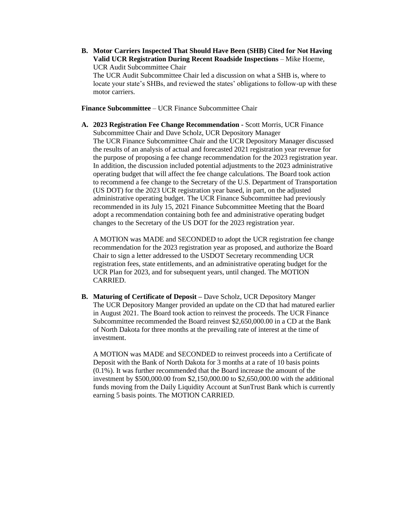**B. Motor Carriers Inspected That Should Have Been (SHB) Cited for Not Having Valid UCR Registration During Recent Roadside Inspections** – Mike Hoeme, UCR Audit Subcommittee Chair

The UCR Audit Subcommittee Chair led a discussion on what a SHB is, where to locate your state's SHBs, and reviewed the states' obligations to follow-up with these motor carriers.

**Finance Subcommittee** – UCR Finance Subcommittee Chair

**A. 2023 Registration Fee Change Recommendation -** Scott Morris, UCR Finance Subcommittee Chair and Dave Scholz, UCR Depository Manager The UCR Finance Subcommittee Chair and the UCR Depository Manager discussed the results of an analysis of actual and forecasted 2021 registration year revenue for the purpose of proposing a fee change recommendation for the 2023 registration year. In addition, the discussion included potential adjustments to the 2023 administrative operating budget that will affect the fee change calculations. The Board took action to recommend a fee change to the Secretary of the U.S. Department of Transportation (US DOT) for the 2023 UCR registration year based, in part, on the adjusted administrative operating budget. The UCR Finance Subcommittee had previously recommended in its July 15, 2021 Finance Subcommittee Meeting that the Board adopt a recommendation containing both fee and administrative operating budget changes to the Secretary of the US DOT for the 2023 registration year.

A MOTION was MADE and SECONDED to adopt the UCR registration fee change recommendation for the 2023 registration year as proposed, and authorize the Board Chair to sign a letter addressed to the USDOT Secretary recommending UCR registration fees, state entitlements, and an administrative operating budget for the UCR Plan for 2023, and for subsequent years, until changed. The MOTION CARRIED.

**B. Maturing of Certificate of Deposit –** Dave Scholz, UCR Depository Manger The UCR Depository Manger provided an update on the CD that had matured earlier in August 2021. The Board took action to reinvest the proceeds. The UCR Finance Subcommittee recommended the Board reinvest \$2,650,000.00 in a CD at the Bank of North Dakota for three months at the prevailing rate of interest at the time of investment.

A MOTION was MADE and SECONDED to reinvest proceeds into a Certificate of Deposit with the Bank of North Dakota for 3 months at a rate of 10 basis points (0.1%). It was further recommended that the Board increase the amount of the investment by \$500,000.00 from \$2,150,000.00 to \$2,650,000.00 with the additional funds moving from the Daily Liquidity Account at SunTrust Bank which is currently earning 5 basis points. The MOTION CARRIED.